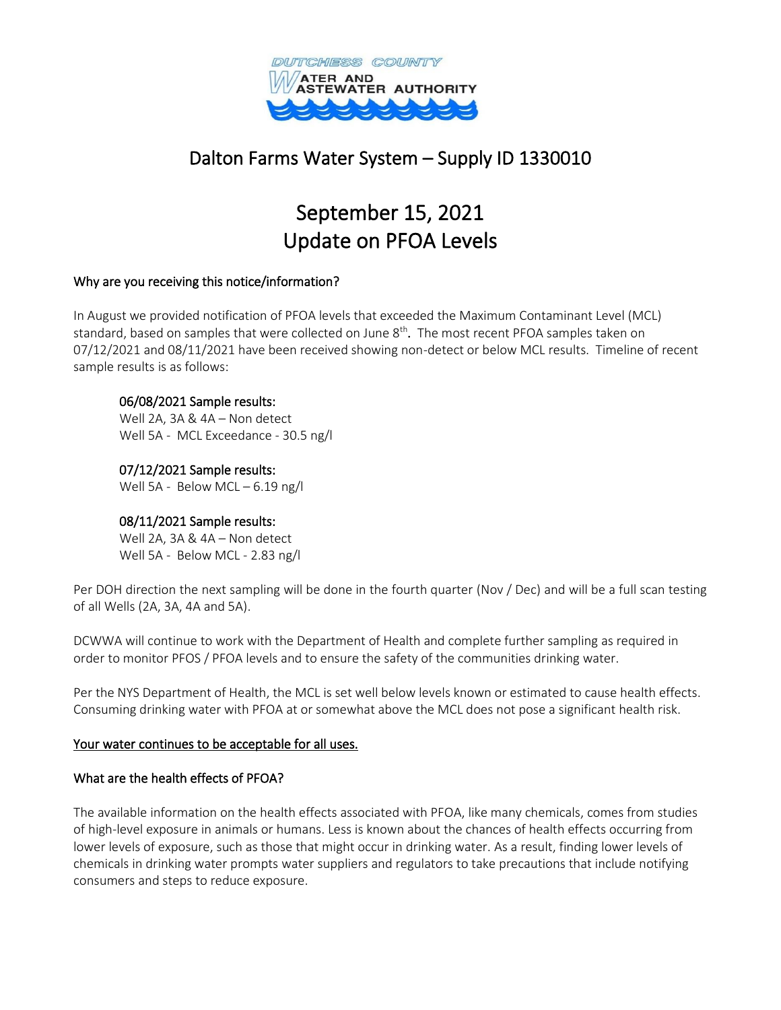

# Dalton Farms Water System – Supply ID 1330010

# September 15, 2021 Update on PFOA Levels

### Why are you receiving this notice/information?

In August we provided notification of PFOA levels that exceeded the Maximum Contaminant Level (MCL) standard, based on samples that were collected on June 8<sup>th</sup>. The most recent PFOA samples taken on 07/12/2021 and 08/11/2021 have been received showing non-detect or below MCL results. Timeline of recent sample results is as follows:

#### 06/08/2021 Sample results:

Well 2A, 3A & 4A – Non detect Well 5A - MCL Exceedance - 30.5 ng/l

07/12/2021 Sample results: Well 5A - Below MCL – 6.19 ng/l

# 08/11/2021 Sample results:

Well 2A, 3A & 4A – Non detect Well 5A - Below MCL - 2.83 ng/l

Per DOH direction the next sampling will be done in the fourth quarter (Nov / Dec) and will be a full scan testing of all Wells (2A, 3A, 4A and 5A).

DCWWA will continue to work with the Department of Health and complete further sampling as required in order to monitor PFOS / PFOA levels and to ensure the safety of the communities drinking water.

Per the NYS Department of Health, the MCL is set well below levels known or estimated to cause health effects. Consuming drinking water with PFOA at or somewhat above the MCL does not pose a significant health risk.

#### Your water continues to be acceptable for all uses.

# What are the health effects of PFOA?

The available information on the health effects associated with PFOA, like many chemicals, comes from studies of high-level exposure in animals or humans. Less is known about the chances of health effects occurring from lower levels of exposure, such as those that might occur in drinking water. As a result, finding lower levels of chemicals in drinking water prompts water suppliers and regulators to take precautions that include notifying consumers and steps to reduce exposure.